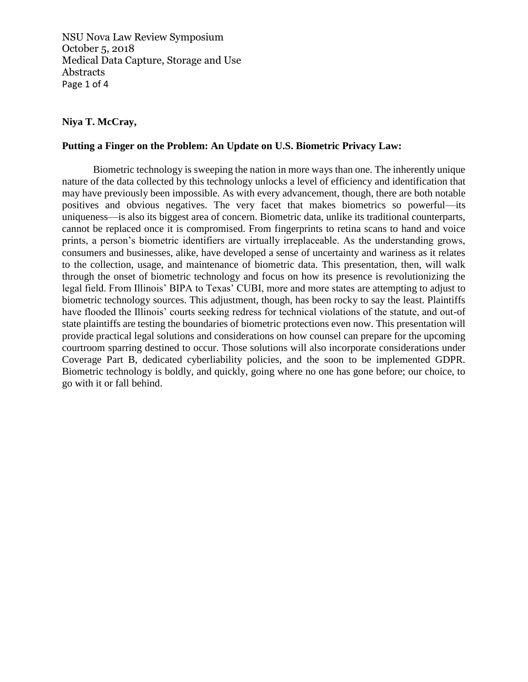NSU Nova Law Review Symposium October 5, 2018 Medical Data Capture, Storage and Use Abstracts Page 1 of 4

# **Niya T. McCray,**

### **Putting a Finger on the Problem: An Update on U.S. Biometric Privacy Law:**

Biometric technology is sweeping the nation in more ways than one. The inherently unique nature of the data collected by this technology unlocks a level of efficiency and identification that may have previously been impossible. As with every advancement, though, there are both notable positives and obvious negatives. The very facet that makes biometrics so powerful—its uniqueness—is also its biggest area of concern. Biometric data, unlike its traditional counterparts, cannot be replaced once it is compromised. From fingerprints to retina scans to hand and voice prints, a person's biometric identifiers are virtually irreplaceable. As the understanding grows, consumers and businesses, alike, have developed a sense of uncertainty and wariness as it relates to the collection, usage, and maintenance of biometric data. This presentation, then, will walk through the onset of biometric technology and focus on how its presence is revolutionizing the legal field. From Illinois' BIPA to Texas' CUBI, more and more states are attempting to adjust to biometric technology sources. This adjustment, though, has been rocky to say the least. Plaintiffs have flooded the Illinois' courts seeking redress for technical violations of the statute, and out-of state plaintiffs are testing the boundaries of biometric protections even now. This presentation will provide practical legal solutions and considerations on how counsel can prepare for the upcoming courtroom sparring destined to occur. Those solutions will also incorporate considerations under Coverage Part B, dedicated cyberliability policies, and the soon to be implemented GDPR. Biometric technology is boldly, and quickly, going where no one has gone before; our choice, to go with it or fall behind.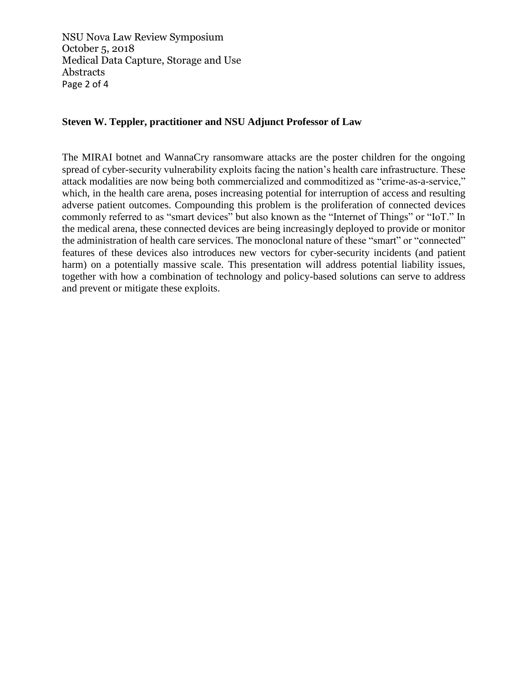NSU Nova Law Review Symposium October 5, 2018 Medical Data Capture, Storage and Use Abstracts Page 2 of 4

# **Steven W. Teppler, practitioner and NSU Adjunct Professor of Law**

The MIRAI botnet and WannaCry ransomware attacks are the poster children for the ongoing spread of cyber-security vulnerability exploits facing the nation's health care infrastructure. These attack modalities are now being both commercialized and commoditized as "crime-as-a-service," which, in the health care arena, poses increasing potential for interruption of access and resulting adverse patient outcomes. Compounding this problem is the proliferation of connected devices commonly referred to as "smart devices" but also known as the "Internet of Things" or "IoT." In the medical arena, these connected devices are being increasingly deployed to provide or monitor the administration of health care services. The monoclonal nature of these "smart" or "connected" features of these devices also introduces new vectors for cyber-security incidents (and patient harm) on a potentially massive scale. This presentation will address potential liability issues, together with how a combination of technology and policy-based solutions can serve to address and prevent or mitigate these exploits.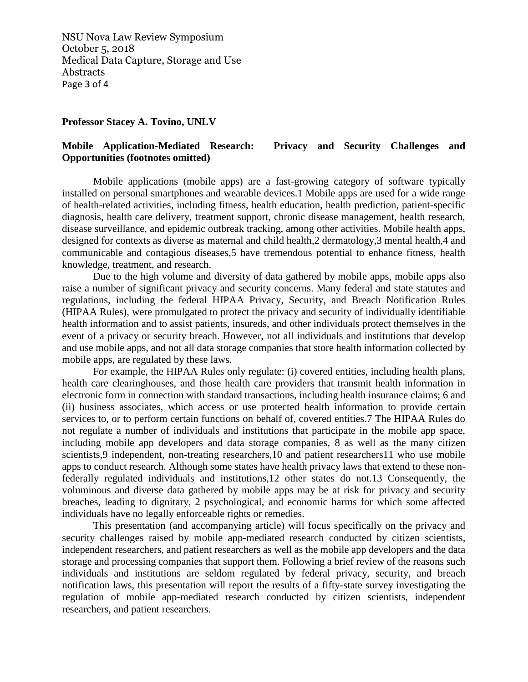NSU Nova Law Review Symposium October 5, 2018 Medical Data Capture, Storage and Use Abstracts Page 3 of 4

#### **Professor Stacey A. Tovino, UNLV**

# **Mobile Application-Mediated Research: Privacy and Security Challenges and Opportunities (footnotes omitted)**

Mobile applications (mobile apps) are a fast-growing category of software typically installed on personal smartphones and wearable devices.1 Mobile apps are used for a wide range of health-related activities, including fitness, health education, health prediction, patient-specific diagnosis, health care delivery, treatment support, chronic disease management, health research, disease surveillance, and epidemic outbreak tracking, among other activities. Mobile health apps, designed for contexts as diverse as maternal and child health,2 dermatology,3 mental health,4 and communicable and contagious diseases,5 have tremendous potential to enhance fitness, health knowledge, treatment, and research.

Due to the high volume and diversity of data gathered by mobile apps, mobile apps also raise a number of significant privacy and security concerns. Many federal and state statutes and regulations, including the federal HIPAA Privacy, Security, and Breach Notification Rules (HIPAA Rules), were promulgated to protect the privacy and security of individually identifiable health information and to assist patients, insureds, and other individuals protect themselves in the event of a privacy or security breach. However, not all individuals and institutions that develop and use mobile apps, and not all data storage companies that store health information collected by mobile apps, are regulated by these laws.

For example, the HIPAA Rules only regulate: (i) covered entities, including health plans, health care clearinghouses, and those health care providers that transmit health information in electronic form in connection with standard transactions, including health insurance claims; 6 and (ii) business associates, which access or use protected health information to provide certain services to, or to perform certain functions on behalf of, covered entities.7 The HIPAA Rules do not regulate a number of individuals and institutions that participate in the mobile app space, including mobile app developers and data storage companies, 8 as well as the many citizen scientists,9 independent, non-treating researchers,10 and patient researchers11 who use mobile apps to conduct research. Although some states have health privacy laws that extend to these nonfederally regulated individuals and institutions,12 other states do not.13 Consequently, the voluminous and diverse data gathered by mobile apps may be at risk for privacy and security breaches, leading to dignitary, 2 psychological, and economic harms for which some affected individuals have no legally enforceable rights or remedies.

This presentation (and accompanying article) will focus specifically on the privacy and security challenges raised by mobile app-mediated research conducted by citizen scientists, independent researchers, and patient researchers as well as the mobile app developers and the data storage and processing companies that support them. Following a brief review of the reasons such individuals and institutions are seldom regulated by federal privacy, security, and breach notification laws, this presentation will report the results of a fifty-state survey investigating the regulation of mobile app-mediated research conducted by citizen scientists, independent researchers, and patient researchers.